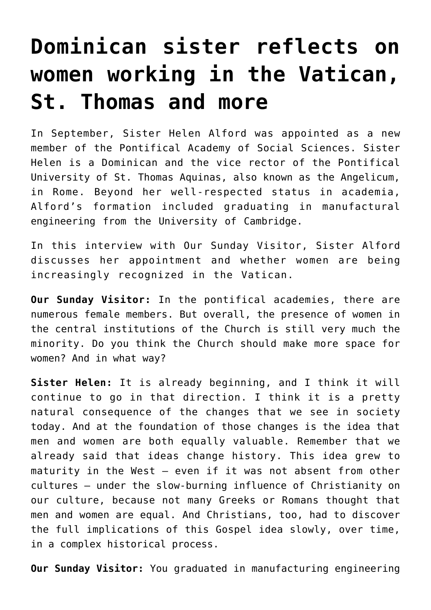## **[Dominican sister reflects on](https://www.osvnews.com/2020/11/05/dominican-sister-named-to-pontifical-academy-of-social-sciences/) [women working in the Vatican,](https://www.osvnews.com/2020/11/05/dominican-sister-named-to-pontifical-academy-of-social-sciences/) [St. Thomas and more](https://www.osvnews.com/2020/11/05/dominican-sister-named-to-pontifical-academy-of-social-sciences/)**

In September, Sister Helen Alford was appointed as a new member of the Pontifical Academy of Social Sciences. Sister Helen is a Dominican and the vice rector of the Pontifical University of St. Thomas Aquinas, also known as the Angelicum, in Rome. Beyond her well-respected status in academia, Alford's formation included graduating in manufactural engineering from the University of Cambridge.

In this interview with Our Sunday Visitor, Sister Alford discusses her appointment and whether women are being increasingly recognized in the Vatican.

**Our Sunday Visitor:** In the pontifical academies, there are numerous female members. But overall, the presence of women in the central institutions of the Church is still very much the minority. Do you think the Church should make more space for women? And in what way?

**Sister Helen:** It is already beginning, and I think it will continue to go in that direction. I think it is a pretty natural consequence of the changes that we see in society today. And at the foundation of those changes is the idea that men and women are both equally valuable. Remember that we already said that ideas change history. This idea grew to maturity in the West — even if it was not absent from other cultures — under the slow-burning influence of Christianity on our culture, because not many Greeks or Romans thought that men and women are equal. And Christians, too, had to discover the full implications of this Gospel idea slowly, over time, in a complex historical process.

**Our Sunday Visitor:** You graduated in manufacturing engineering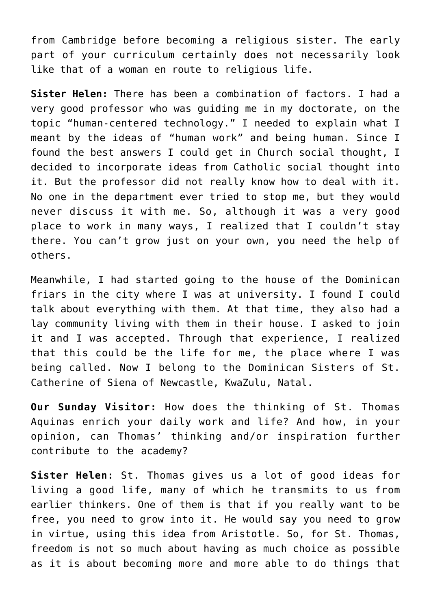from Cambridge before becoming a religious sister. The early part of your curriculum certainly does not necessarily look like that of a woman en route to religious life.

**Sister Helen:** There has been a combination of factors. I had a very good professor who was guiding me in my doctorate, on the topic "human-centered technology." I needed to explain what I meant by the ideas of "human work" and being human. Since I found the best answers I could get in Church social thought, I decided to incorporate ideas from Catholic social thought into it. But the professor did not really know how to deal with it. No one in the department ever tried to stop me, but they would never discuss it with me. So, although it was a very good place to work in many ways, I realized that I couldn't stay there. You can't grow just on your own, you need the help of others.

Meanwhile, I had started going to the house of the Dominican friars in the city where I was at university. I found I could talk about everything with them. At that time, they also had a lay community living with them in their house. I asked to join it and I was accepted. Through that experience, I realized that this could be the life for me, the place where I was being called. Now I belong to the Dominican Sisters of St. Catherine of Siena of Newcastle, KwaZulu, Natal.

**Our Sunday Visitor:** How does the thinking of St. Thomas Aquinas enrich your daily work and life? And how, in your opinion, can Thomas' thinking and/or inspiration further contribute to the academy?

**Sister Helen:** St. Thomas gives us a lot of good ideas for living a good life, many of which he transmits to us from earlier thinkers. One of them is that if you really want to be free, you need to grow into it. He would say you need to grow in virtue, using this idea from Aristotle. So, for St. Thomas, freedom is not so much about having as much choice as possible as it is about becoming more and more able to do things that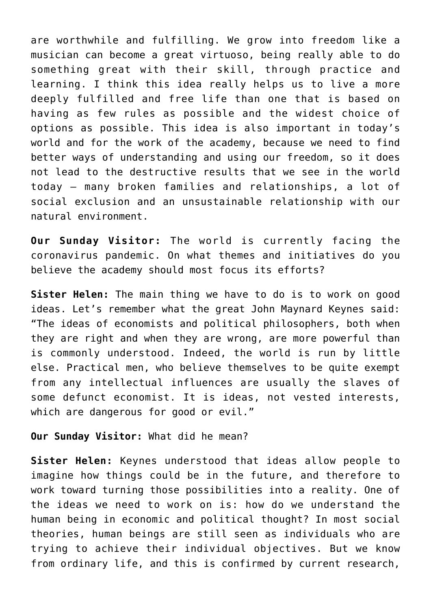are worthwhile and fulfilling. We grow into freedom like a musician can become a great virtuoso, being really able to do something great with their skill, through practice and learning. I think this idea really helps us to live a more deeply fulfilled and free life than one that is based on having as few rules as possible and the widest choice of options as possible. This idea is also important in today's world and for the work of the academy, because we need to find better ways of understanding and using our freedom, so it does not lead to the destructive results that we see in the world today — many broken families and relationships, a lot of social exclusion and an unsustainable relationship with our natural environment.

**Our Sunday Visitor:** The world is currently facing the coronavirus pandemic. On what themes and initiatives do you believe the academy should most focus its efforts?

**Sister Helen:** The main thing we have to do is to work on good ideas. Let's remember what the great John Maynard Keynes said: "The ideas of economists and political philosophers, both when they are right and when they are wrong, are more powerful than is commonly understood. Indeed, the world is run by little else. Practical men, who believe themselves to be quite exempt from any intellectual influences are usually the slaves of some defunct economist. It is ideas, not vested interests, which are dangerous for good or evil."

## **Our Sunday Visitor:** What did he mean?

**Sister Helen:** Keynes understood that ideas allow people to imagine how things could be in the future, and therefore to work toward turning those possibilities into a reality. One of the ideas we need to work on is: how do we understand the human being in economic and political thought? In most social theories, human beings are still seen as individuals who are trying to achieve their individual objectives. But we know from ordinary life, and this is confirmed by current research,